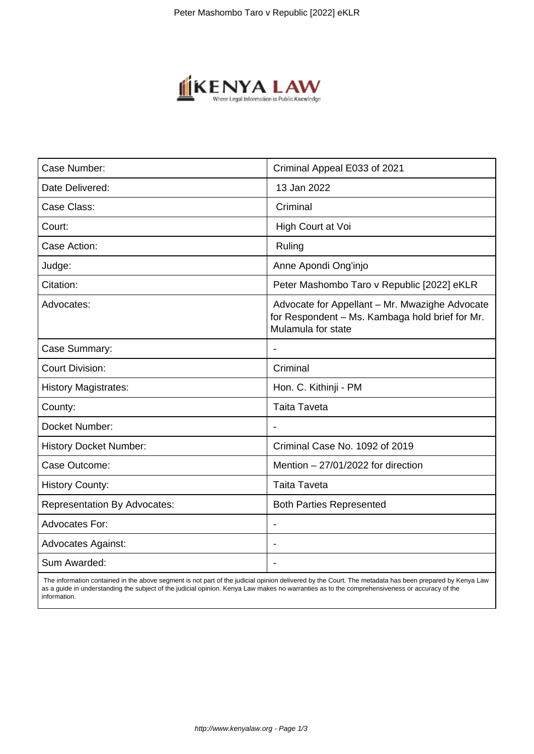

| Case Number:                        | Criminal Appeal E033 of 2021                                                                                            |
|-------------------------------------|-------------------------------------------------------------------------------------------------------------------------|
| Date Delivered:                     | 13 Jan 2022                                                                                                             |
| Case Class:                         | Criminal                                                                                                                |
| Court:                              | High Court at Voi                                                                                                       |
| Case Action:                        | Ruling                                                                                                                  |
| Judge:                              | Anne Apondi Ong'injo                                                                                                    |
| Citation:                           | Peter Mashombo Taro v Republic [2022] eKLR                                                                              |
| Advocates:                          | Advocate for Appellant - Mr. Mwazighe Advocate<br>for Respondent - Ms. Kambaga hold brief for Mr.<br>Mulamula for state |
| Case Summary:                       |                                                                                                                         |
| <b>Court Division:</b>              | Criminal                                                                                                                |
| <b>History Magistrates:</b>         | Hon. C. Kithinji - PM                                                                                                   |
| County:                             | <b>Taita Taveta</b>                                                                                                     |
| Docket Number:                      | $\blacksquare$                                                                                                          |
| <b>History Docket Number:</b>       | Criminal Case No. 1092 of 2019                                                                                          |
| Case Outcome:                       | Mention $-27/01/2022$ for direction                                                                                     |
| <b>History County:</b>              | <b>Taita Taveta</b>                                                                                                     |
| <b>Representation By Advocates:</b> | <b>Both Parties Represented</b>                                                                                         |
| <b>Advocates For:</b>               |                                                                                                                         |
| <b>Advocates Against:</b>           |                                                                                                                         |
| Sum Awarded:                        |                                                                                                                         |

 The information contained in the above segment is not part of the judicial opinion delivered by the Court. The metadata has been prepared by Kenya Law as a guide in understanding the subject of the judicial opinion. Kenya Law makes no warranties as to the comprehensiveness or accuracy of the information.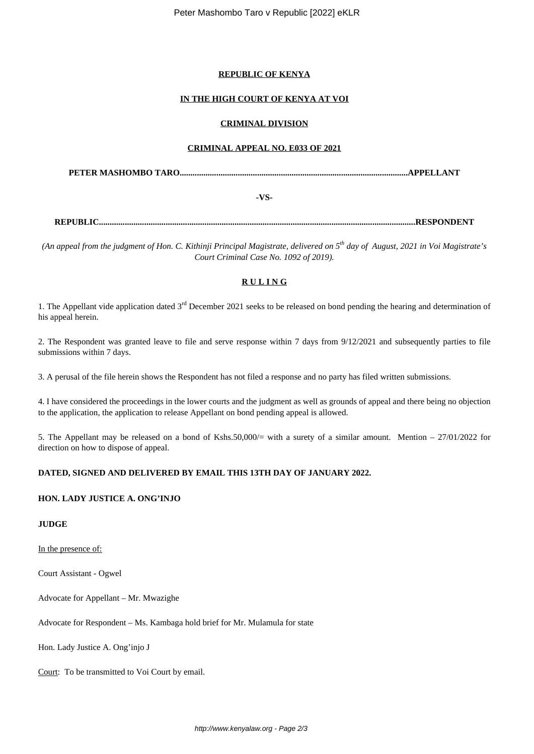### **REPUBLIC OF KENYA**

### **IN THE HIGH COURT OF KENYA AT VOI**

### **CRIMINAL DIVISION**

### **CRIMINAL APPEAL NO. E033 OF 2021**

**PETER MASHOMBO TARO..........................................................................................................APPELLANT**

**-VS-**

**REPUBLIC...................................................................................................................................................RESPONDENT**

*(An appeal from the judgment of Hon. C. Kithinji Principal Magistrate, delivered on 5th day of August, 2021 in Voi Magistrate's Court Criminal Case No. 1092 of 2019).*

# **R U L I N G**

1. The Appellant vide application dated  $3<sup>rd</sup>$  December 2021 seeks to be released on bond pending the hearing and determination of his appeal herein.

2. The Respondent was granted leave to file and serve response within 7 days from 9/12/2021 and subsequently parties to file submissions within 7 days.

3. A perusal of the file herein shows the Respondent has not filed a response and no party has filed written submissions.

4. I have considered the proceedings in the lower courts and the judgment as well as grounds of appeal and there being no objection to the application, the application to release Appellant on bond pending appeal is allowed.

5. The Appellant may be released on a bond of Kshs.50,000/ $=$  with a surety of a similar amount. Mention  $= 27/01/2022$  for direction on how to dispose of appeal.

## **DATED, SIGNED AND DELIVERED BY EMAIL THIS 13TH DAY OF JANUARY 2022.**

## **HON. LADY JUSTICE A. ONG'INJO**

## **JUDGE**

In the presence of:

Court Assistant - Ogwel

Advocate for Appellant – Mr. Mwazighe

Advocate for Respondent – Ms. Kambaga hold brief for Mr. Mulamula for state

Hon. Lady Justice A. Ong'injo J

Court: To be transmitted to Voi Court by email.